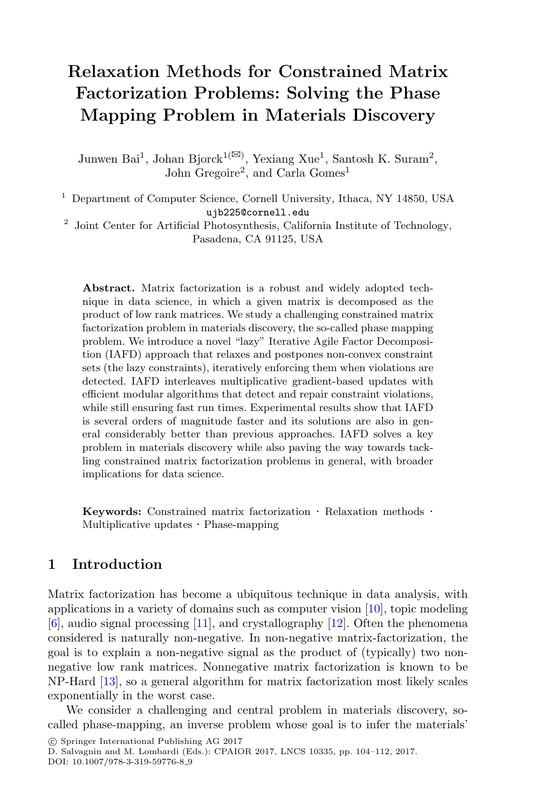# **Relaxation Methods for Constrained Matrix Factorization Problems: Solving the Phase Mapping Problem in Materials Discovery**

Junwen Bai<sup>1</sup>, Johan Bjorck<sup>1( $\boxtimes$ )</sup>, Yexiang Xue<sup>1</sup>, Santosh K. Suram<sup>2</sup>, John Gregoire<sup>2</sup>, and Carla Gomes<sup>1</sup>

<sup>1</sup> Department of Computer Science, Cornell University, Ithaca, NY 14850, USA ujb225@cornell.edu

 $2$  Joint Center for Artificial Photosynthesis, California Institute of Technology, Pasadena, CA 91125, USA

**Abstract.** Matrix factorization is a robust and widely adopted technique in data science, in which a given matrix is decomposed as the product of low rank matrices. We study a challenging constrained matrix factorization problem in materials discovery, the so-called phase mapping problem. We introduce a novel "lazy" Iterative Agile Factor Decomposition (IAFD) approach that relaxes and postpones non-convex constraint sets (the lazy constraints), iteratively enforcing them when violations are detected. IAFD interleaves multiplicative gradient-based updates with efficient modular algorithms that detect and repair constraint violations, while still ensuring fast run times. Experimental results show that IAFD is several orders of magnitude faster and its solutions are also in general considerably better than previous approaches. IAFD solves a key problem in materials discovery while also paving the way towards tackling constrained matrix factorization problems in general, with broader implications for data science.

**Keywords:** Constrained matrix factorization  $\cdot$  Relaxation methods  $\cdot$  Multiplicative updates  $\cdot$  Phase-mapping

## **1 Introduction**

Matrix factorization has become a ubiquitous technique in data analysis, with applications in a variety of domains such as computer vision [\[10](#page-8-0)], topic modeling [\[6](#page-8-1)], audio signal processing [\[11\]](#page-8-2), and crystallography [\[12](#page-8-3)]. Often the phenomena considered is naturally non-negative. In non-negative matrix-factorization, the goal is to explain a non-negative signal as the product of (typically) two nonnegative low rank matrices. Nonnegative matrix factorization is known to be NP-Hard [\[13\]](#page-8-4), so a general algorithm for matrix factorization most likely scales exponentially in the worst case.

We consider a challenging and central problem in materials discovery, socalled phase-mapping, an inverse problem whose goal is to infer the materials'

<sup>-</sup>c Springer International Publishing AG 2017

D. Salvagnin and M. Lombardi (Eds.): CPAIOR 2017, LNCS 10335, pp. 104–112, 2017.

DOI: 10.1007/978-3-319-59776-8<sub>-9</sub>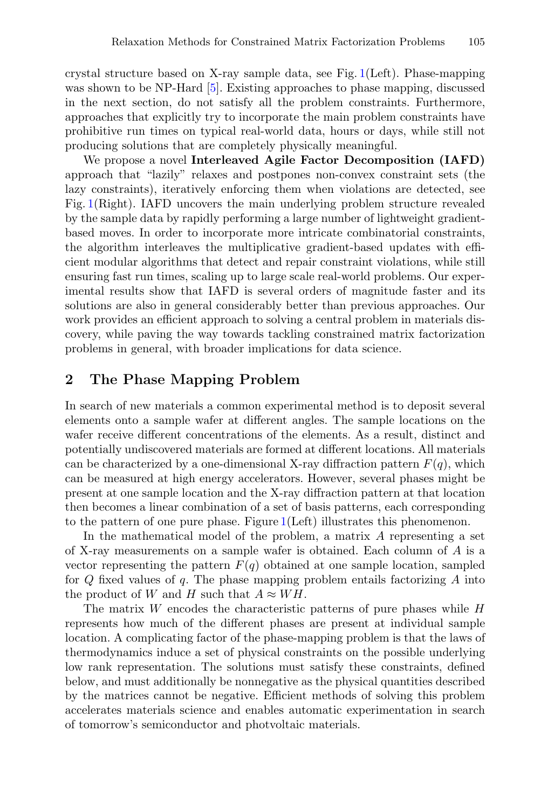crystal structure based on X-ray sample data, see Fig. [1\(](#page-2-0)Left). Phase-mapping was shown to be NP-Hard [\[5\]](#page-8-5). Existing approaches to phase mapping, discussed in the next section, do not satisfy all the problem constraints. Furthermore, approaches that explicitly try to incorporate the main problem constraints have prohibitive run times on typical real-world data, hours or days, while still not producing solutions that are completely physically meaningful.

We propose a novel **Interleaved Agile Factor Decomposition (IAFD)** approach that "lazily" relaxes and postpones non-convex constraint sets (the lazy constraints), iteratively enforcing them when violations are detected, see Fig. [1\(](#page-2-0)Right). IAFD uncovers the main underlying problem structure revealed by the sample data by rapidly performing a large number of lightweight gradientbased moves. In order to incorporate more intricate combinatorial constraints, the algorithm interleaves the multiplicative gradient-based updates with efficient modular algorithms that detect and repair constraint violations, while still ensuring fast run times, scaling up to large scale real-world problems. Our experimental results show that IAFD is several orders of magnitude faster and its solutions are also in general considerably better than previous approaches. Our work provides an efficient approach to solving a central problem in materials discovery, while paving the way towards tackling constrained matrix factorization problems in general, with broader implications for data science.

### **2 The Phase Mapping Problem**

In search of new materials a common experimental method is to deposit several elements onto a sample wafer at different angles. The sample locations on the wafer receive different concentrations of the elements. As a result, distinct and potentially undiscovered materials are formed at different locations. All materials can be characterized by a one-dimensional X-ray diffraction pattern  $F(q)$ , which can be measured at high energy accelerators. However, several phases might be present at one sample location and the X-ray diffraction pattern at that location then becomes a linear combination of a set of basis patterns, each corresponding to the pattern of one pure phase. Figure [1\(](#page-2-0)Left) illustrates this phenomenon.

In the mathematical model of the problem, a matrix A representing a set of X-ray measurements on a sample wafer is obtained. Each column of A is a vector representing the pattern  $F(q)$  obtained at one sample location, sampled for  $Q$  fixed values of  $q$ . The phase mapping problem entails factorizing  $A$  into the product of W and H such that  $A \approx WH$ .

The matrix  $W$  encodes the characteristic patterns of pure phases while  $H$ represents how much of the different phases are present at individual sample location. A complicating factor of the phase-mapping problem is that the laws of thermodynamics induce a set of physical constraints on the possible underlying low rank representation. The solutions must satisfy these constraints, defined below, and must additionally be nonnegative as the physical quantities described by the matrices cannot be negative. Efficient methods of solving this problem accelerates materials science and enables automatic experimentation in search of tomorrow's semiconductor and photvoltaic materials.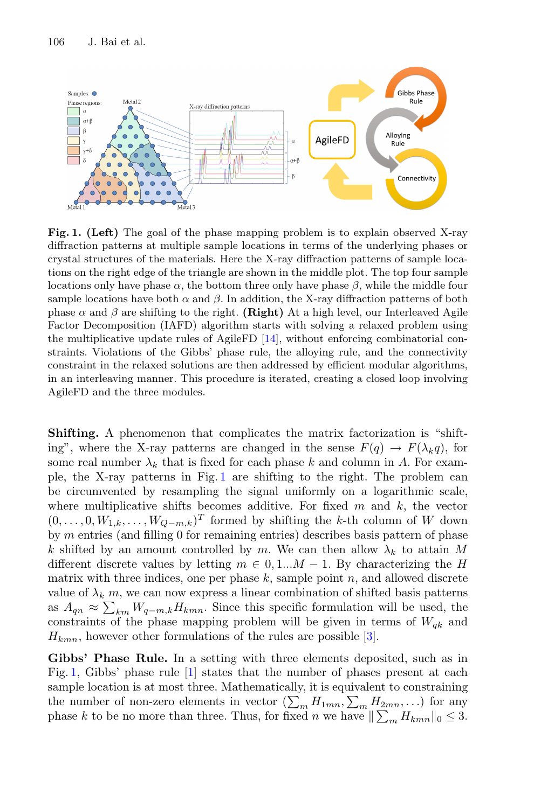

<span id="page-2-0"></span>**Fig. 1. (Left)** The goal of the phase mapping problem is to explain observed X-ray diffraction patterns at multiple sample locations in terms of the underlying phases or crystal structures of the materials. Here the X-ray diffraction patterns of sample locations on the right edge of the triangle are shown in the middle plot. The top four sample locations only have phase  $\alpha$ , the bottom three only have phase  $\beta$ , while the middle four sample locations have both  $\alpha$  and  $\beta$ . In addition, the X-ray diffraction patterns of both phase  $\alpha$  and  $\beta$  are shifting to the right. **(Right)** At a high level, our Interleaved Agile Factor Decomposition (IAFD) algorithm starts with solving a relaxed problem using the multiplicative update rules of AgileFD [\[14](#page-8-6)], without enforcing combinatorial constraints. Violations of the Gibbs' phase rule, the alloying rule, and the connectivity constraint in the relaxed solutions are then addressed by efficient modular algorithms, in an interleaving manner. This procedure is iterated, creating a closed loop involving AgileFD and the three modules.

**Shifting.** A phenomenon that complicates the matrix factorization is "shifting", where the X-ray patterns are changed in the sense  $F(q) \to F(\lambda_k q)$ , for some real number  $\lambda_k$  that is fixed for each phase k and column in A. For example, the X-ray patterns in Fig. [1](#page-2-0) are shifting to the right. The problem can be circumvented by resampling the signal uniformly on a logarithmic scale, where multiplicative shifts becomes additive. For fixed  $m$  and  $k$ , the vector  $(0,\ldots,0,W_{1,k},\ldots,W_{Q-m,k})^T$  formed by shifting the k-th column of W down by m entries (and filling 0 for remaining entries) describes basis pattern of phase k shifted by an amount controlled by m. We can then allow  $\lambda_k$  to attain M different discrete values by letting  $m \in 0, 1...M - 1$ . By characterizing the H matrix with three indices, one per phase  $k$ , sample point  $n$ , and allowed discrete value of  $\lambda_k$  m, we can now express a linear combination of shifted basis patterns as  $A_{qn} \approx \sum_{km} W_{q-m,k} H_{kmn}$ . Since this specific formulation will be used, the constraints of the phase mapping problem will be given in terms of  $W_{qk}$  and  $H_{kmn}$ , however other formulations of the rules are possible [\[3\]](#page-8-7).

**Gibbs' Phase Rule.** In a setting with three elements deposited, such as in Fig. [1,](#page-2-0) Gibbs' phase rule [\[1](#page-8-8)] states that the number of phases present at each sample location is at most three. Mathematically, it is equivalent to constraining the number of non-zero elements in vector  $(\sum_m H_{1mn}, \sum_m H_{2mn}, ...)$  for any phase k to be no more than three. Thus, for fixed n we have  $\|\sum_{m} H_{kmn}\|_0 \leq 3$ .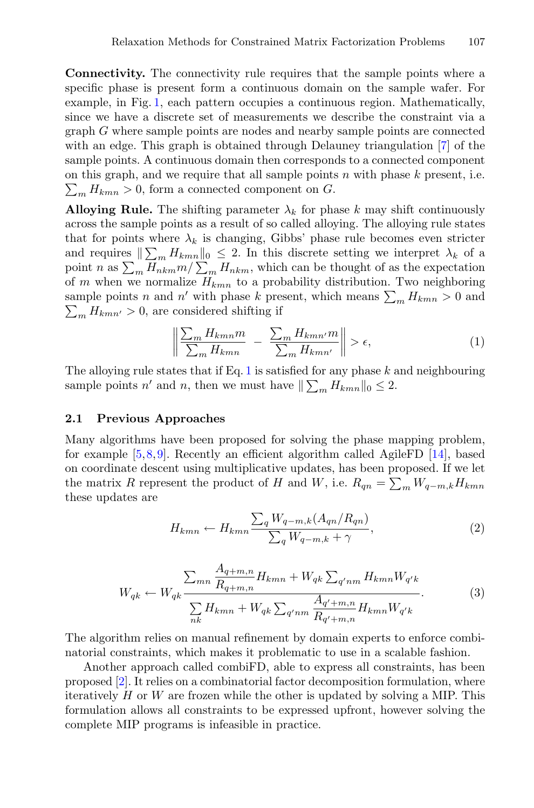**Connectivity.** The connectivity rule requires that the sample points where a specific phase is present form a continuous domain on the sample wafer. For example, in Fig. [1,](#page-2-0) each pattern occupies a continuous region. Mathematically, since we have a discrete set of measurements we describe the constraint via a graph G where sample points are nodes and nearby sample points are connected with an edge. This graph is obtained through Delauney triangulation [\[7\]](#page-8-9) of the sample points. A continuous domain then corresponds to a connected component on this graph, and we require that all sample points  $n$  with phase  $k$  present, i.e.  $\sum_{m} H_{kmn} > 0$ , form a connected component on G.

**Alloying Rule.** The shifting parameter  $\lambda_k$  for phase k may shift continuously across the sample points as a result of so called alloying. The alloying rule states that for points where  $\lambda_k$  is changing, Gibbs' phase rule becomes even stricter and requires  $\|\sum_{m} H_{kmn}\|_0 \leq 2$ . In this discrete setting we interpret  $\lambda_k$  of a point n as  $\sum_m H_{nkm} m / \sum_m H_{nkm}$ , which can be thought of as the expectation of m when we normalize  $H_{kmn}$  to a probability distribution. Two neighboring sample points n and n' with phase k present, which means  $\sum_m H_{kmn} > 0$  and  $\sum_{m} H_{kmn'} > 0$ , are considered shifting if

$$
\left\| \frac{\sum_{m} H_{kmn} m}{\sum_{m} H_{kmn}} - \frac{\sum_{m} H_{kmn'} m}{\sum_{m} H_{kmn'}} \right\| > \epsilon,
$$
\n(1)

<span id="page-3-0"></span>The alloying rule states that if Eq. [1](#page-3-0) is satisfied for any phase  $k$  and neighbouring sample points n' and n, then we must have  $\|\sum_{m} H_{kmn}\|_0 \leq 2$ .

#### **2.1 Previous Approaches**

Many algorithms have been proposed for solving the phase mapping problem, for example  $[5,8,9]$  $[5,8,9]$  $[5,8,9]$  $[5,8,9]$ . Recently an efficient algorithm called AgileFD  $[14]$  $[14]$ , based on coordinate descent using multiplicative updates, has been proposed. If we let the matrix R represent the product of H and W, i.e.  $R_{qn} = \sum_{m} W_{q-m,k} H_{kmn}$ these updates are

$$
H_{kmn} \leftarrow H_{kmn} \frac{\sum_{q} W_{q-m,k} (A_{qn}/R_{qn})}{\sum_{q} W_{q-m,k} + \gamma}, \tag{2}
$$

<span id="page-3-1"></span>
$$
W_{qk} \leftarrow W_{qk} \frac{\sum_{mn} \frac{A_{q+m,n}}{R_{q+m,n}} H_{kmn} + W_{qk} \sum_{q'nm} H_{kmn} W_{q'k}}{\sum_{nk} H_{kmn} + W_{qk} \sum_{q'nm} \frac{A_{q' + m,n}}{R_{q' + m,n}} H_{kmn} W_{q'k}}.
$$
(3)

<span id="page-3-2"></span>The algorithm relies on manual refinement by domain experts to enforce combinatorial constraints, which makes it problematic to use in a scalable fashion.

Another approach called combiFD, able to express all constraints, has been proposed [\[2\]](#page-8-12). It relies on a combinatorial factor decomposition formulation, where iteratively  $H$  or  $W$  are frozen while the other is updated by solving a MIP. This formulation allows all constraints to be expressed upfront, however solving the complete MIP programs is infeasible in practice.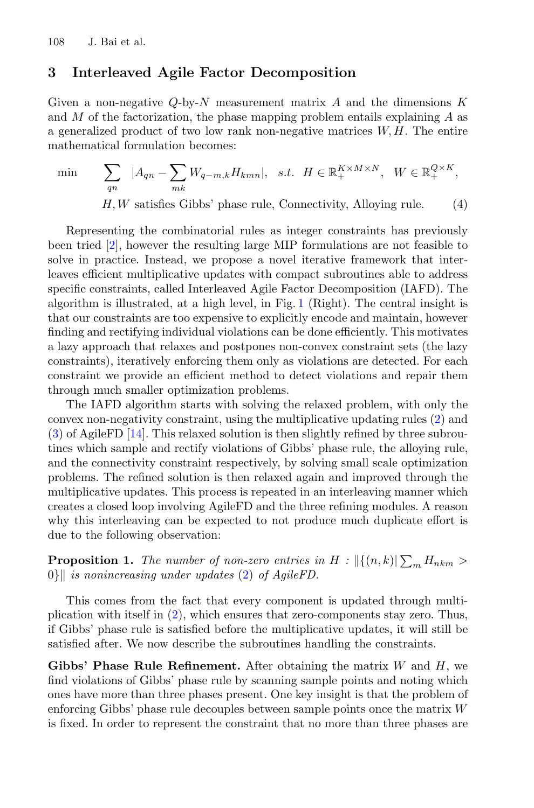#### **3 Interleaved Agile Factor Decomposition**

Given a non-negative  $Q$ -by-N measurement matrix A and the dimensions K and  $M$  of the factorization, the phase mapping problem entails explaining  $A$  as a generalized product of two low rank non-negative matrices  $W, H$ . The entire mathematical formulation becomes:

min

$$
\sum_{qn} |A_{qn} - \sum_{mk} W_{q-m,k} H_{kmn}|, \text{ s.t. } H \in \mathbb{R}_+^{K \times M \times N}, \text{ } W \in \mathbb{R}_+^{Q \times K},
$$
  
H, W satisfies Gibbs' phase rule, Connecticuty, Alloying rule. (4)

Representing the combinatorial rules as integer constraints has previously been tried [\[2\]](#page-8-12), however the resulting large MIP formulations are not feasible to solve in practice. Instead, we propose a novel iterative framework that interleaves efficient multiplicative updates with compact subroutines able to address specific constraints, called Interleaved Agile Factor Decomposition (IAFD). The algorithm is illustrated, at a high level, in Fig. [1](#page-2-0) (Right). The central insight is that our constraints are too expensive to explicitly encode and maintain, however finding and rectifying individual violations can be done efficiently. This motivates a lazy approach that relaxes and postpones non-convex constraint sets (the lazy constraints), iteratively enforcing them only as violations are detected. For each constraint we provide an efficient method to detect violations and repair them through much smaller optimization problems.

The IAFD algorithm starts with solving the relaxed problem, with only the convex non-negativity constraint, using the multiplicative updating rules [\(2\)](#page-3-1) and [\(3\)](#page-3-2) of AgileFD [\[14\]](#page-8-6). This relaxed solution is then slightly refined by three subroutines which sample and rectify violations of Gibbs' phase rule, the alloying rule, and the connectivity constraint respectively, by solving small scale optimization problems. The refined solution is then relaxed again and improved through the multiplicative updates. This process is repeated in an interleaving manner which creates a closed loop involving AgileFD and the three refining modules. A reason why this interleaving can be expected to not produce much duplicate effort is due to the following observation:

**Proposition 1.** The number of non-zero entries in  $H$  :  $\left\| \{(n,k)| \sum_{m} H_{nkm} > \right\|$ 0} *is nonincreasing under updates* [\(2\)](#page-3-1) *of AgileFD.*

This comes from the fact that every component is updated through multiplication with itself in [\(2\)](#page-3-1), which ensures that zero-components stay zero. Thus, if Gibbs' phase rule is satisfied before the multiplicative updates, it will still be satisfied after. We now describe the subroutines handling the constraints.

**Gibbs' Phase Rule Refinement.** After obtaining the matrix W and H, we find violations of Gibbs' phase rule by scanning sample points and noting which ones have more than three phases present. One key insight is that the problem of enforcing Gibbs' phase rule decouples between sample points once the matrix W is fixed. In order to represent the constraint that no more than three phases are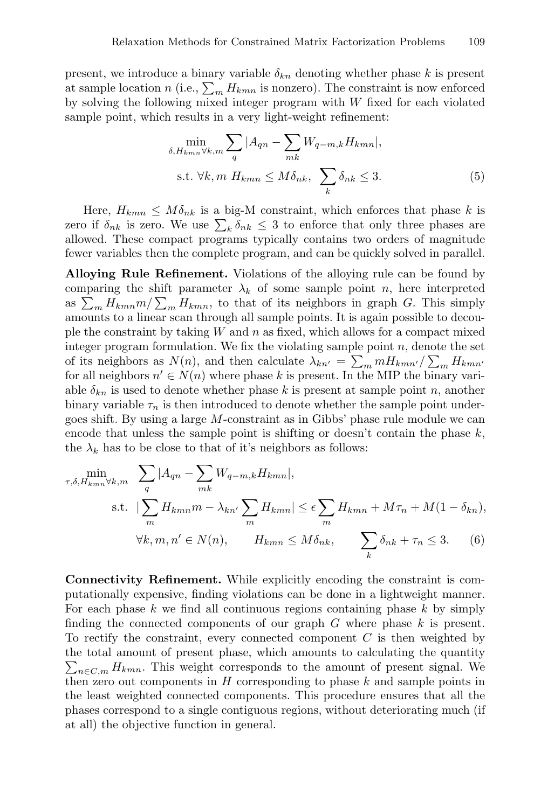present, we introduce a binary variable  $\delta_{kn}$  denoting whether phase k is present at sample location n (i.e.,  $\sum_{m} H_{kmn}$  is nonzero). The constraint is now enforced by solving the following mixed integer program with  $W$  fixed for each violated sample point, which results in a very light-weight refinement:

$$
\min_{\delta, H_{kmn} \forall k, m} \sum_{q} |A_{qn} - \sum_{mk} W_{q-m,k} H_{kmn}|,
$$
\n
$$
\text{s.t. } \forall k, m \ H_{kmn} \le M \delta_{nk}, \ \sum_{k} \delta_{nk} \le 3.
$$
\n
$$
(5)
$$

Here,  $H_{kmn} \leq M \delta_{nk}$  is a big-M constraint, which enforces that phase k is zero if  $\delta_{nk}$  is zero. We use  $\sum_{k} \delta_{nk} \leq 3$  to enforce that only three phases are allowed. These compact programs typically contains two orders of magnitude fewer variables then the complete program, and can be quickly solved in parallel.

**Alloying Rule Refinement.** Violations of the alloying rule can be found by comparing the shift parameter  $\lambda_k$  of some sample point n, here interpreted as  $\sum_m H_{kmn}m/\sum_m H_{kmn}$ , to that of its neighbors in graph G. This simply amounts to a linear scan through all sample points. It is again possible to decouple the constraint by taking  $W$  and  $n$  as fixed, which allows for a compact mixed integer program formulation. We fix the violating sample point  $n$ , denote the set of its neighbors as  $N(n)$ , and then calculate  $\lambda_{kn'} = \sum_m m H_{kmn'} / \sum_m H_{kmn'}$ for all neighbors  $n' \in N(n)$  where phase k is present. In the MIP the binary variable  $\delta_{kn}$  is used to denote whether phase k is present at sample point n, another binary variable  $\tau_n$  is then introduced to denote whether the sample point undergoes shift. By using a large M-constraint as in Gibbs' phase rule module we can encode that unless the sample point is shifting or doesn't contain the phase  $k$ , the  $\lambda_k$  has to be close to that of it's neighbors as follows:

$$
\min_{\tau,\delta,H_{kmn}\forall k,m} \sum_{q} |A_{qn} - \sum_{mk} W_{q-m,k} H_{kmn}|,
$$
\n
$$
\text{s.t. } |\sum_{m} H_{kmn} m - \lambda_{kn'} \sum_{m} H_{kmn}| \le \epsilon \sum_{m} H_{kmn} + M\tau_{n} + M(1 - \delta_{kn}),
$$
\n
$$
\forall k,m,n' \in N(n), \qquad H_{kmn} \le M\delta_{nk}, \qquad \sum_{k} \delta_{nk} + \tau_{n} \le 3. \tag{6}
$$

**Connectivity Refinement.** While explicitly encoding the constraint is computationally expensive, finding violations can be done in a lightweight manner. For each phase  $k$  we find all continuous regions containing phase  $k$  by simply finding the connected components of our graph  $G$  where phase  $k$  is present. To rectify the constraint, every connected component  $C$  is then weighted by the total amount of present phase, which amounts to calculating the quantity  $\sum_{n \in C, m} H_{kmn}$ . This weight corresponds to the amount of present signal. We then zero out components in  $H$  corresponding to phase  $k$  and sample points in the least weighted connected components. This procedure ensures that all the phases correspond to a single contiguous regions, without deteriorating much (if at all) the objective function in general.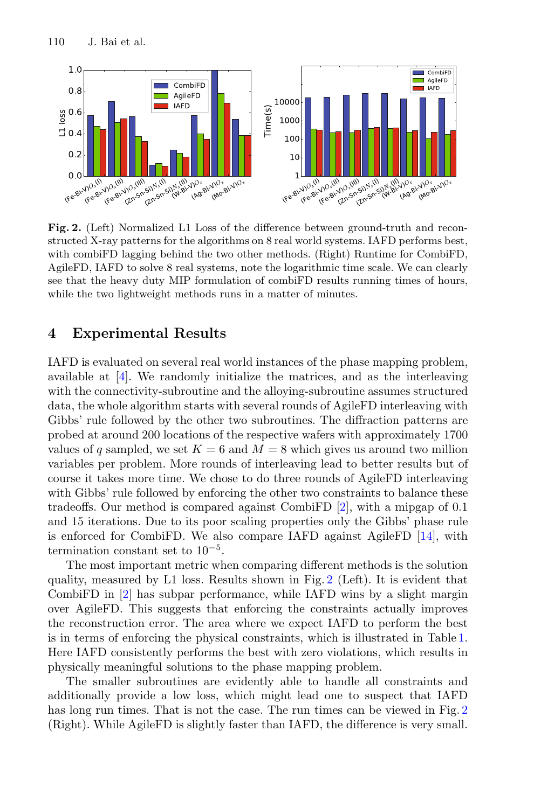

<span id="page-6-0"></span>**Fig. 2.** (Left) Normalized L1 Loss of the difference between ground-truth and reconstructed X-ray patterns for the algorithms on 8 real world systems. IAFD performs best, with combiFD lagging behind the two other methods. (Right) Runtime for CombiFD, AgileFD, IAFD to solve 8 real systems, note the logarithmic time scale. We can clearly see that the heavy duty MIP formulation of combiFD results running times of hours, while the two lightweight methods runs in a matter of minutes.

#### **4 Experimental Results**

IAFD is evaluated on several real world instances of the phase mapping problem, available at [\[4\]](#page-8-13). We randomly initialize the matrices, and as the interleaving with the connectivity-subroutine and the alloying-subroutine assumes structured data, the whole algorithm starts with several rounds of AgileFD interleaving with Gibbs' rule followed by the other two subroutines. The diffraction patterns are probed at around 200 locations of the respective wafers with approximately 1700 values of q sampled, we set  $K = 6$  and  $M = 8$  which gives us around two million variables per problem. More rounds of interleaving lead to better results but of course it takes more time. We chose to do three rounds of AgileFD interleaving with Gibbs' rule followed by enforcing the other two constraints to balance these tradeoffs. Our method is compared against CombiFD [\[2\]](#page-8-12), with a mipgap of 0.1 and 15 iterations. Due to its poor scaling properties only the Gibbs' phase rule is enforced for CombiFD. We also compare IAFD against AgileFD [\[14\]](#page-8-6), with termination constant set to  $10^{-5}$ .

The most important metric when comparing different methods is the solution quality, measured by L1 loss. Results shown in Fig. [2](#page-6-0) (Left). It is evident that CombiFD in [\[2\]](#page-8-12) has subpar performance, while IAFD wins by a slight margin over AgileFD. This suggests that enforcing the constraints actually improves the reconstruction error. The area where we expect IAFD to perform the best is in terms of enforcing the physical constraints, which is illustrated in Table [1.](#page-7-0) Here IAFD consistently performs the best with zero violations, which results in physically meaningful solutions to the phase mapping problem.

The smaller subroutines are evidently able to handle all constraints and additionally provide a low loss, which might lead one to suspect that IAFD has long run times. That is not the case. The run times can be viewed in Fig. [2](#page-6-0) (Right). While AgileFD is slightly faster than IAFD, the difference is very small.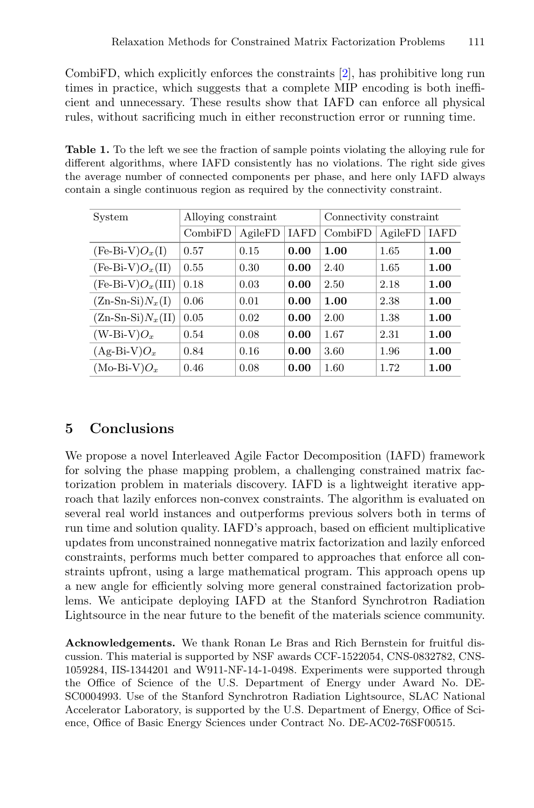CombiFD, which explicitly enforces the constraints [\[2\]](#page-8-12), has prohibitive long run times in practice, which suggests that a complete MIP encoding is both inefficient and unnecessary. These results show that IAFD can enforce all physical rules, without sacrificing much in either reconstruction error or running time.

<span id="page-7-0"></span>**Table 1.** To the left we see the fraction of sample points violating the alloying rule for different algorithms, where IAFD consistently has no violations. The right side gives the average number of connected components per phase, and here only IAFD always contain a single continuous region as required by the connectivity constraint.

| System              | Alloying constraint |         |             | Connectivity constraint |         |             |
|---------------------|---------------------|---------|-------------|-------------------------|---------|-------------|
|                     | CombiFD             | AgileFD | <b>IAFD</b> | CombiFD                 | AgileFD | <b>IAFD</b> |
| $(Fe-Bi-V)O_x(I)$   | 0.57                | 0.15    | 0.00        | 1.00                    | 1.65    | 1.00        |
| $(Fe-Bi-V)O_x(II)$  | 0.55                | 0.30    | 0.00        | 2.40                    | 1.65    | 1.00        |
| $(Fe-Bi-V)O_x(III)$ | 0.18                | 0.03    | 0.00        | 2.50                    | 2.18    | 1.00        |
| $(Zn-Sn-Si)N_x(I)$  | 0.06                | 0.01    | 0.00        | 1.00                    | 2.38    | 1.00        |
| $(Zn-Sn-Si)N_x(II)$ | 0.05                | 0.02    | 0.00        | 2.00                    | 1.38    | 1.00        |
| $(W-Bi-V)O_x$       | 0.54                | 0.08    | 0.00        | 1.67                    | 2.31    | 1.00        |
| $(Ag-Bi-V)O_x$      | 0.84                | 0.16    | 0.00        | 3.60                    | 1.96    | 1.00        |
| $(Mo-Bi-V)O_x$      | 0.46                | 0.08    | 0.00        | 1.60                    | 1.72    | 1.00        |

## **5 Conclusions**

We propose a novel Interleaved Agile Factor Decomposition (IAFD) framework for solving the phase mapping problem, a challenging constrained matrix factorization problem in materials discovery. IAFD is a lightweight iterative approach that lazily enforces non-convex constraints. The algorithm is evaluated on several real world instances and outperforms previous solvers both in terms of run time and solution quality. IAFD's approach, based on efficient multiplicative updates from unconstrained nonnegative matrix factorization and lazily enforced constraints, performs much better compared to approaches that enforce all constraints upfront, using a large mathematical program. This approach opens up a new angle for efficiently solving more general constrained factorization problems. We anticipate deploying IAFD at the Stanford Synchrotron Radiation Lightsource in the near future to the benefit of the materials science community.

**Acknowledgements.** We thank Ronan Le Bras and Rich Bernstein for fruitful discussion. This material is supported by NSF awards CCF-1522054, CNS-0832782, CNS-1059284, IIS-1344201 and W911-NF-14-1-0498. Experiments were supported through the Office of Science of the U.S. Department of Energy under Award No. DE-SC0004993. Use of the Stanford Synchrotron Radiation Lightsource, SLAC National Accelerator Laboratory, is supported by the U.S. Department of Energy, Office of Science, Office of Basic Energy Sciences under Contract No. DE-AC02-76SF00515.